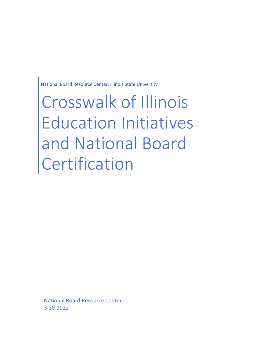National Board Resource Center: Illinois State University

Crosswalk of Illinois Education Initiatives and National Board Certification

National Board Resource Center 3-30-2022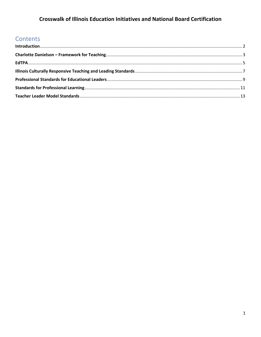## **Crosswalk of Illinois Education Initiatives and National Board Certification**

## Contents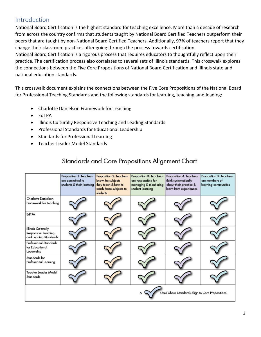## <span id="page-2-0"></span>Introduction

National Board Certification is the highest standard for teaching excellence. More than a decade of research from across the country confirms that students taught by National Board Certified Teachers outperform their peers that are taught by non-National Board Certified Teachers. Additionally, 97% of teachers report that they change their classroom practices after going through the process towards certification.

National Board Certification is a rigorous process that requires educators to thoughtfully reflect upon their practice. The certification process also correlates to several sets of Illinois standards. This crosswalk explores the connections between the Five Core Propositions of National Board Certification and Illinois state and national education standards.

This crosswalk document explains the connections between the Five Core Propositions of the National Board for Professional Teaching Standards and the following standards for learning, teaching, and leading:

- Charlotte Danielson Framework for Teaching
- EdTPA
- Illinois Culturally Responsive Teaching and Leading Standards
- Professional Standards for Educational Leadership
- Standards for Professional Learning
- Teacher Leader Model Standards

## Standards and Core Propositions Alignment Chart

|                                                                     | Proposition 1: Teachers<br>are committed to<br>students & their learning | Proposition 2: Teachers<br>know the subjects<br>they teach & how to<br>teach those subjects to<br>students | Proposition 3: Teachers<br>are responsible for<br>managing & monitoring<br>student learning | Proposition 4: Teachers<br>think systematically<br>about their practice &<br>learn from experiences | Proposition 5: Teachers<br>are members of<br>learning communities |
|---------------------------------------------------------------------|--------------------------------------------------------------------------|------------------------------------------------------------------------------------------------------------|---------------------------------------------------------------------------------------------|-----------------------------------------------------------------------------------------------------|-------------------------------------------------------------------|
| Charlotte Danielson<br>Framework for Teaching                       |                                                                          |                                                                                                            |                                                                                             |                                                                                                     |                                                                   |
| EdTPA                                                               |                                                                          |                                                                                                            |                                                                                             |                                                                                                     |                                                                   |
| Illinois Culturally<br>Responsive Teaching<br>and Leading Standards |                                                                          |                                                                                                            |                                                                                             |                                                                                                     |                                                                   |
| Professional Standards<br>for Educational<br>Leadership             |                                                                          |                                                                                                            |                                                                                             |                                                                                                     |                                                                   |
| Standards for<br>Professional Learning                              |                                                                          |                                                                                                            |                                                                                             |                                                                                                     |                                                                   |
| Teacher Leader Model<br>Standards                                   |                                                                          |                                                                                                            |                                                                                             |                                                                                                     |                                                                   |
|                                                                     |                                                                          |                                                                                                            |                                                                                             | notes where Standards align to Core Propositions.                                                   |                                                                   |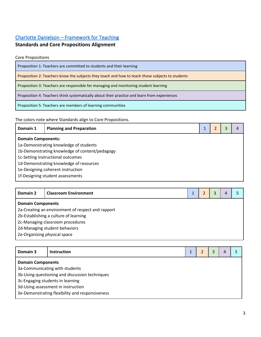## <span id="page-3-0"></span>[Charlotte Danielson – Framework for Teaching](https://danielsongroup.org/the-framework-for-teaching/)

## **Standards and Core Propositions Alignment**

Core Propositions

| Proposition 1: Teachers are committed to students and their learning                             |
|--------------------------------------------------------------------------------------------------|
| Proposition 2: Teachers know the subjects they teach and how to teach those subjects to students |
| Proposition 3: Teachers are responsible for managing and monitoring student learning             |
| Proposition 4: Teachers think systematically about their practice and learn from experiences     |
| Proposition 5: Teachers are members of learning communities                                      |

The colors note where Standards align to Core Propositions.

| Domain 1                                | <b>Planning and Preparation</b>                |  |  |  | 4 |  |
|-----------------------------------------|------------------------------------------------|--|--|--|---|--|
|                                         | <b>Domain Components:</b>                      |  |  |  |   |  |
|                                         | 1a-Demonstrating knowledge of students         |  |  |  |   |  |
|                                         | 1b-Demonstrating knowledge of content/pedagogy |  |  |  |   |  |
| 1c-Setting instructional outcomes       |                                                |  |  |  |   |  |
| 1d-Demonstrating knowledge of resources |                                                |  |  |  |   |  |
|                                         | 1e-Designing coherent instruction              |  |  |  |   |  |
|                                         | 1f-Designing student assessments               |  |  |  |   |  |

| Domain 2                         | <b>Classroom Environment</b>                      |  |  | 3 |  |  |
|----------------------------------|---------------------------------------------------|--|--|---|--|--|
| <b>Domain Components</b>         |                                                   |  |  |   |  |  |
|                                  | 2a-Creating an environment of respect and rapport |  |  |   |  |  |
|                                  | 2b-Establishing a culture of learning             |  |  |   |  |  |
| 2c-Managing classroom procedures |                                                   |  |  |   |  |  |
|                                  | 2d-Managing student behaviors                     |  |  |   |  |  |
|                                  | 2e-Organizing physical space                      |  |  |   |  |  |

| Domain 3                 | <b>Instruction</b>                              |  |  |  |  |  |
|--------------------------|-------------------------------------------------|--|--|--|--|--|
| <b>Domain Components</b> |                                                 |  |  |  |  |  |
|                          | 3a-Communicating with students                  |  |  |  |  |  |
|                          | 3b-Using questioning and discussion techniques  |  |  |  |  |  |
|                          | 3c-Engaging students in learning                |  |  |  |  |  |
|                          | 3d-Using assessment in instruction              |  |  |  |  |  |
|                          | 3e-Demonstrating flexibility and responsiveness |  |  |  |  |  |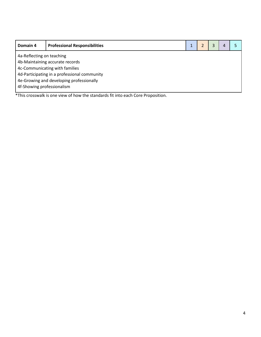| Domain 4                                     | <b>Professional Responsibilities</b>     |  |  |  |  |  |  |
|----------------------------------------------|------------------------------------------|--|--|--|--|--|--|
| 4a-Reflecting on teaching                    |                                          |  |  |  |  |  |  |
|                                              | 4b-Maintaining accurate records          |  |  |  |  |  |  |
|                                              | 4c-Communicating with families           |  |  |  |  |  |  |
| 4d-Participating in a professional community |                                          |  |  |  |  |  |  |
|                                              | 4e-Growing and developing professionally |  |  |  |  |  |  |
| 4f-Showing professionalism                   |                                          |  |  |  |  |  |  |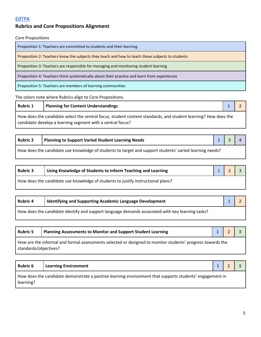### <span id="page-5-0"></span>**Rubrics and Core Propositions Alignment**

Core Propositions

Proposition 1: Teachers are committed to students and their learning

Proposition 2: Teachers know the subjects they teach and how to teach those subjects to students

Proposition 3: Teachers are responsible for managing and monitoring student learning

Proposition 4: Teachers think systematically about their practice and learn from experiences

Proposition 5: Teachers are members of learning communities

The colors note where Rubrics align to Core Propositions.

**Rubric 1 Planning for Content Understandings** 1 2 2 How does the candidate select the central focus, student content standards, and student learning? How does the candidate develop a learning segment with a central focus?

| <b>Rubric 2</b>                                                                                         | Planning to Support Varied Student Learning Needs | $1 \mid 3 \mid 4$ |  |  |
|---------------------------------------------------------------------------------------------------------|---------------------------------------------------|-------------------|--|--|
| How does the candidate use knowledge of students to target and support students' varied learning needs? |                                                   |                   |  |  |

| <b>Rubric 3</b> | Using Knowledge of Students to Inform Teaching and Learning                      | 1 2 3 |  |
|-----------------|----------------------------------------------------------------------------------|-------|--|
|                 | How does the candidate use knowledge of students to justify instructional plans? |       |  |

| <b>Rubric 4</b> | Identifying and Supporting Academic Language Development                                         |  |
|-----------------|--------------------------------------------------------------------------------------------------|--|
|                 | How does the candidate identify and support language demands associated with key learning tasks? |  |

| <b>Rubric 5</b>       | Planning Assessments to Monitor and Support Student Learning                                               |  |  |
|-----------------------|------------------------------------------------------------------------------------------------------------|--|--|
| standards/objectives? | How are the informal and formal assessments selected or designed to monitor students' progress towards the |  |  |

| <b>Rubric 6</b> | <b>Learning Environment</b>                                                                              |  |  |
|-----------------|----------------------------------------------------------------------------------------------------------|--|--|
| learning?       | How does the candidate demonstrate a positive learning environment that supports students' engagement in |  |  |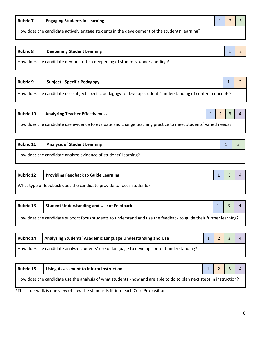| <b>Rubric 7</b>                                                                               | <b>LEngaging Students in Learning</b> |  |  |  |
|-----------------------------------------------------------------------------------------------|---------------------------------------|--|--|--|
| How does the candidate actively engage students in the development of the students' learning? |                                       |  |  |  |

| <b>Rubric 8</b>                                                            | <sup>I</sup> Deepening Student Learning |  |
|----------------------------------------------------------------------------|-----------------------------------------|--|
| How does the candidate demonstrate a deepening of students' understanding? |                                         |  |

| <b>Rubric 9</b>                                                                                              | Subject - Specific Pedagogy |  |  |  |
|--------------------------------------------------------------------------------------------------------------|-----------------------------|--|--|--|
| How does the candidate use subject specific pedagogy to develop students' understanding of content concepts? |                             |  |  |  |

| <b>Rubric 10</b>                                                                                             | Analyzing Teacher Effectiveness |  | $1 \mid 2 \mid 3 \mid 4$ |  |  |
|--------------------------------------------------------------------------------------------------------------|---------------------------------|--|--------------------------|--|--|
| How does the candidate use evidence to evaluate and change teaching practice to meet students' varied needs? |                                 |  |                          |  |  |

| Rubric 11                                                      | <b>Analysis of Student Learning</b> |  |
|----------------------------------------------------------------|-------------------------------------|--|
| How does the candidate analyze evidence of students' learning? |                                     |  |

| <b>Rubric 12</b>                                                    | <b>Providing Feedback to Guide Learning</b> |  |  |
|---------------------------------------------------------------------|---------------------------------------------|--|--|
| What type of feedback does the candidate provide to focus students? |                                             |  |  |

| <b>Rubric 13</b>                                                                                                  | Student Understanding and Use of Feedback |  |  |  |  |
|-------------------------------------------------------------------------------------------------------------------|-------------------------------------------|--|--|--|--|
| How does the candidate support focus students to understand and use the feedback to guide their further learning? |                                           |  |  |  |  |

| <b>Rubric 14</b>                                                                           | Analyzing Students' Academic Language Understanding and Use |  | 1234 |  |
|--------------------------------------------------------------------------------------------|-------------------------------------------------------------|--|------|--|
| How does the candidate analyze students' use of language to develop content understanding? |                                                             |  |      |  |

| <b>Rubric 15</b> | Using Assessment to Inform Instruction                                                                              |  | $2 \mid 3 \mid 4$ |  |
|------------------|---------------------------------------------------------------------------------------------------------------------|--|-------------------|--|
|                  | How does the candidate use the analysis of what students know and are able to do to plan next steps in instruction? |  |                   |  |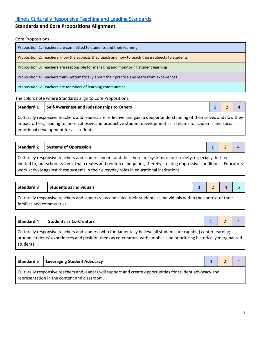### <span id="page-7-0"></span>[Illinois Culturally Responsive Teaching and Leading Standards](https://www.ilga.gov/commission/Jcar/admincode/023/023000240000500R.html)

#### **Standards and Core Propositions Alignment**

Core Propositions

Proposition 1: Teachers are committed to students and their learning Proposition 2: Teachers know the subjects they teach and how to teach those subjects to students Proposition 3: Teachers are responsible for managing and monitoring student learning Proposition 4: Teachers think systematically about their practice and learn from experiences Proposition 5: Teachers are members of learning communities

The colors note where Standards align to Core Propositions.

**Standard 1** Self-Awareness and Relationships to Others 1 2 2 4 4 2 4 4 4 2 4 4 2 4 4 2 4 4 2 4 4 2 4 4 2 4 4 2 4 4 2 4 4 2 4 4 2 4 2 4 4 2 4 2 4 2 4 2 4 2 4 2 4 2 4 2 4 2 4 2 4 2 4 2 4 2 4 2 4 2 4 2 4 2 4 2 4 2 4 2 4 2 4

work actively against these systems in their everyday roles in educational institutions.

Culturally responsive teachers and leaders are reflective and gain a deeper understanding of themselves and how they impact others, leading to more cohesive and productive student development as it relates to academic and socialemotional development for all students.

|                                                                                                                           | Standard 2   Systems of Oppression |  | $1 \mid 2 \mid 4$ |  |  |  |  |
|---------------------------------------------------------------------------------------------------------------------------|------------------------------------|--|-------------------|--|--|--|--|
| Culturally responsive teachers and leaders understand that there are systems in our society, especially, but not          |                                    |  |                   |  |  |  |  |
| I limited to, our school system, that creates and reinforce inequities, thereby creating oppressive conditions. Educators |                                    |  |                   |  |  |  |  |

| Standard 3                                                                                                          | Students as Individuals   |  |  |  |  |  |
|---------------------------------------------------------------------------------------------------------------------|---------------------------|--|--|--|--|--|
| Culturally responsive teachers and leaders view and value their students as individuals within the context of their |                           |  |  |  |  |  |
|                                                                                                                     | families and communities. |  |  |  |  |  |

| <b>Standard 4</b>                                                                                                                                                                                                                         | <b>Students as Co-Creators</b> |  |  |  |  |  |  |
|-------------------------------------------------------------------------------------------------------------------------------------------------------------------------------------------------------------------------------------------|--------------------------------|--|--|--|--|--|--|
| Culturally responsive teachers and leaders (who fundamentally believe all students are capable) center learning<br>around students' experiences and position them as co-creators, with emphasis on prioritizing historically marginalized |                                |  |  |  |  |  |  |
| students.                                                                                                                                                                                                                                 |                                |  |  |  |  |  |  |

| Standard 5   Leveraging Student Advocacy                                                                                                                  |  |  |
|-----------------------------------------------------------------------------------------------------------------------------------------------------------|--|--|
| Culturally responsive teachers and leaders will support and create opportunities for student advocacy and<br>representation in the content and classroom. |  |  |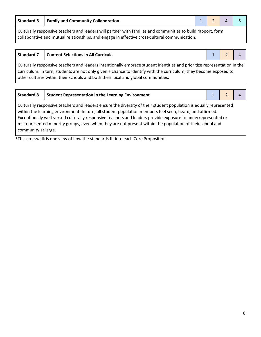**Standard 6 Family and Community Collaboration** 1 2 4 5

Culturally responsive teachers and leaders will partner with families and communities to build rapport, form collaborative and mutual relationships, and engage in effective cross-cultural communication.

| <b>Standard 7</b> | <b>Content Selections in All Curricula</b>                                                                                                                                                                                                                                                                                        |  |  |  |  |  |  |
|-------------------|-----------------------------------------------------------------------------------------------------------------------------------------------------------------------------------------------------------------------------------------------------------------------------------------------------------------------------------|--|--|--|--|--|--|
|                   | Culturally responsive teachers and leaders intentionally embrace student identities and prioritize representation in the<br>curriculum. In turn, students are not only given a chance to identify with the curriculum, they become exposed to<br>other cultures within their schools and both their local and global communities. |  |  |  |  |  |  |

| <b>Standard 8</b>   | <b>Student Representation in the Learning Environment</b>                                                                                                                                                                                                                                                                                                                                                                                                  |  |  |
|---------------------|------------------------------------------------------------------------------------------------------------------------------------------------------------------------------------------------------------------------------------------------------------------------------------------------------------------------------------------------------------------------------------------------------------------------------------------------------------|--|--|
| community at large. | Culturally responsive teachers and leaders ensure the diversity of their student population is equally represented<br>within the learning environment. In turn, all student population members feel seen, heard, and affirmed.<br>Exceptionally well-versed culturally responsive teachers and leaders provide exposure to underrepresented or<br>misrepresented minority groups, even when they are not present within the population of their school and |  |  |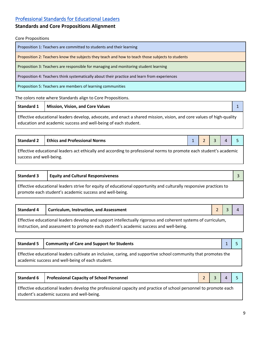### <span id="page-9-0"></span>[Professional Standards for Educational Leaders](https://www.npbea.org/wp-content/uploads/2017/06/Professional-Standards-for-Educational-Leaders_2015.pdf)

#### **Standards and Core Propositions Alignment**

Core Propositions

Proposition 1: Teachers are committed to students and their learning

Proposition 2: Teachers know the subjects they teach and how to teach those subjects to students

Proposition 3: Teachers are responsible for managing and monitoring student learning

Proposition 4: Teachers think systematically about their practice and learn from experiences

Proposition 5: Teachers are members of learning communities

The colors note where Standards align to Core Propositions.

**Standard 1 Mission, Vision, and Core Values** 1

Effective educational leaders develop, advocate, and enact a shared mission, vision, and core values of high-quality education and academic success and well-being of each student.

| <b>Standard 2</b> | <b>LEthics and Professional Norms</b> |  |  |  |  |  |
|-------------------|---------------------------------------|--|--|--|--|--|
|-------------------|---------------------------------------|--|--|--|--|--|

Effective educational leaders act ethically and according to professional norms to promote each student's academic success and well-being.

### **Standard 3 Equity and Cultural Responsiveness** 3

Effective educational leaders strive for equity of educational opportunity and culturally responsive practices to promote each student's academic success and well-being.

|                                                                                                               | Standard 4   Curriculum, Instruction, and Assessment                                   | $2 \mid 3 \mid$ |  |  |  |
|---------------------------------------------------------------------------------------------------------------|----------------------------------------------------------------------------------------|-----------------|--|--|--|
| Effective educational leaders develop and support intellectually rigorous and coherent systems of curriculum, |                                                                                        |                 |  |  |  |
|                                                                                                               | instruction, and assessment to promote each student's academic success and well-being. |                 |  |  |  |

|                                                                                                                                                                     | Standard 5   Community of Care and Support for Students |  |  |  |
|---------------------------------------------------------------------------------------------------------------------------------------------------------------------|---------------------------------------------------------|--|--|--|
| Effective educational leaders cultivate an inclusive, caring, and supportive school community that promotes the<br>academic success and well-being of each student. |                                                         |  |  |  |

| <b>Standard 6</b>                                                                                                | Professional Capacity of School Personnel  |  | $2 \mid 3 \mid 4 \mid 5$ |  |  |  |
|------------------------------------------------------------------------------------------------------------------|--------------------------------------------|--|--------------------------|--|--|--|
| Effective educational leaders develop the professional capacity and practice of school personnel to promote each |                                            |  |                          |  |  |  |
|                                                                                                                  | student's academic success and well-being. |  |                          |  |  |  |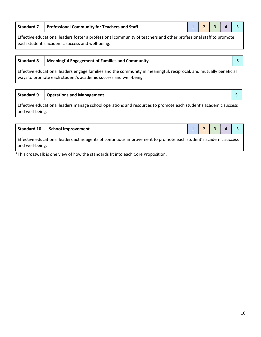|                                                                                                                       | Standard 7   Professional Community for Teachers and Staff |  |  |  | $1 \mid 2 \mid 3 \mid 4 \mid$ |  |  |  |
|-----------------------------------------------------------------------------------------------------------------------|------------------------------------------------------------|--|--|--|-------------------------------|--|--|--|
| ∈CC and a climate activation Construction Construction and a Characteristic and also a construction CC is a construct |                                                            |  |  |  |                               |  |  |  |

Effective educational leaders foster a professional community of teachers and other professional staff to promote each student's academic success and well-being.

| <b>Standard 8</b>                                                                                                                                                                     | <b>Meaningful Engagement of Families and Community</b> |  |  |  |
|---------------------------------------------------------------------------------------------------------------------------------------------------------------------------------------|--------------------------------------------------------|--|--|--|
| Effective educational leaders engage families and the community in meaningful, reciprocal, and mutually beneficial<br>ways to promote each student's academic success and well-being. |                                                        |  |  |  |

#### **Standard 9 Operations and Management** 5

Effective educational leaders manage school operations and resources to promote each student's academic success and well-being.

|                 | Standard 10   School Improvement                                                                                 |  | $1 \mid 2 \mid 3 \mid 4 \mid 5$ |  |
|-----------------|------------------------------------------------------------------------------------------------------------------|--|---------------------------------|--|
| and well-being. | Effective educational leaders act as agents of continuous improvement to promote each student's academic success |  |                                 |  |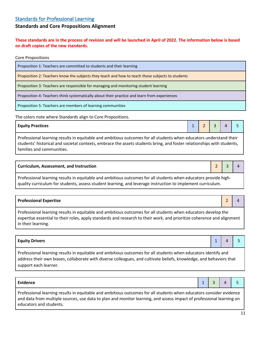#### <span id="page-11-0"></span>**Standards and Core Propositions Alignment**

**These standards are in the process of revision and will be launched in April of 2022. The information below is based on draft copies of the new standards.**

Core Propositions

Proposition 1: Teachers are committed to students and their learning

Proposition 2: Teachers know the subjects they teach and how to teach those subjects to students

Proposition 3: Teachers are responsible for managing and monitoring student learning

Proposition 4: Teachers think systematically about their practice and learn from experiences

Proposition 5: Teachers are members of learning communities

The colors note where Standards align to Core Propositions.

#### **Equity Practices** 1 2 3 4 5

Professional learning results in equitable and ambitious outcomes for all students when educators understand their students' historical and societal contexts, embrace the assets students bring, and foster relationships with students, families and communities.

#### **Curriculum, Assessment, and Instruction**  2 4 4

Professional learning results in equitable and ambitious outcomes for all students when educators provide highquality curriculum for students, assess student learning, and leverage instruction to implement curriculum.

| <b>Professional Expertise</b>                                                                                                                                                                                                                                 |  |
|---------------------------------------------------------------------------------------------------------------------------------------------------------------------------------------------------------------------------------------------------------------|--|
| Professional learning results in equitable and ambitious outcomes for all students when educators develop the<br>expertise essential to their roles, apply standards and research to their work, and prioritize coherence and alignment<br>in their learning. |  |

| <b>Equity Drivers</b>                                                                                          |  |  |  |  |
|----------------------------------------------------------------------------------------------------------------|--|--|--|--|
| Professional learning results in equitable and ambitious outcomes for all students when educators identify and |  |  |  |  |

address their own biases, collaborate with diverse colleagues, and cultivate beliefs, knowledge, and behaviors that support each learner.

**Evidence** 2 3 4 5 5 2 3 4 5 2 3 4 5 2 3 4 5 3 4 5 3 4 5 3 4 5 3 4 5 3 4 5 3 4 5 3 4 5 3 4 5 3 4 5 3 4 5 3 4 5 3 4 5 3 4 5 3 4 5 3 4 5 3 4 5 3 4 5 3 4 5 3 4 5 3 4 5 3 4 5 3 4 5 3 4 5 3 4 5 3 4 5 3 4 5 3 4 5 3 4 5 3 4 5 3 4

Professional learning results in equitable and ambitious outcomes for all students when educators consider evidence and data from multiple sources, use data to plan and monitor learning, and assess impact of professional learning on educators and students.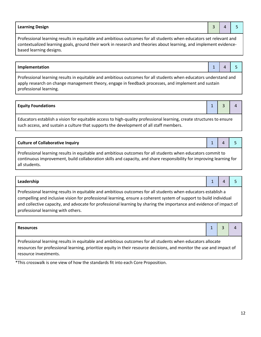# **Resources** 1 3 4 4

Professional learning results in equitable and ambitious outcomes for all students when educators allocate resources for professional learning, prioritize equity in their resource decisions, and monitor the use and impact of resource investments.

\*This crosswalk is one view of how the standards fit into each Core Proposition.

professional learning with others.

Professional learning results in equitable and ambitious outcomes for all students when educators commit to continuous improvement, build collaboration skills and capacity, and share responsibility for improving learning for all students.

**Leadership** 1 4 5

Professional learning results in equitable and ambitious outcomes for all students when educators establish a compelling and inclusive vision for professional learning, ensure a coherent system of support to build individual and collective capacity, and advocate for professional learning by sharing the importance and evidence of impact of

professional learning.

**Equity Foundations** 1 3 4

Educators establish a vision for equitable access to high-quality professional learning, create structures to ensure

such access, and sustain a culture that supports the development of all staff members.

**Implementation** 1 4 5 Professional learning results in equitable and ambitious outcomes for all students when educators understand and apply research on change management theory, engage in feedback processes, and implement and sustain

Professional learning results in equitable and ambitious outcomes for all students when educators set relevant and contextualized learning goals, ground their work in research and theories about learning, and implement evidencebased learning designs.



| stand an |  |
|----------|--|

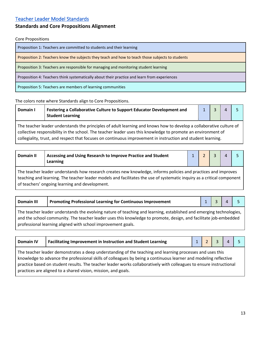#### <span id="page-13-0"></span>[Teacher Leader Model Standards](https://www.ets.org/s/education_topics/teaching_quality/pdf/teacher_leader_model_standards.pdf)

#### **Standards and Core Propositions Alignment**

#### Core Propositions

Proposition 1: Teachers are committed to students and their learning

Proposition 2: Teachers know the subjects they teach and how to teach those subjects to students

Proposition 3: Teachers are responsible for managing and monitoring student learning

Proposition 4: Teachers think systematically about their practice and learn from experiences

Proposition 5: Teachers are members of learning communities

#### The colors note where Standards align to Core Propositions.

| Domain I                                                                                                                                                                                                                            | Fostering a Collaborative Culture to Support Educator Development and<br><b>Student Learning</b> |  |  |  |  |  |
|-------------------------------------------------------------------------------------------------------------------------------------------------------------------------------------------------------------------------------------|--------------------------------------------------------------------------------------------------|--|--|--|--|--|
| The teacher leader understands the principles of adult learning and knows how to develop a collaborative culture of<br>collective responsibility in the school. The teacher leader uses this knowledge to promote an environment of |                                                                                                  |  |  |  |  |  |
| collegiality, trust, and respect that focuses on continuous improvement in instruction and student learning.                                                                                                                        |                                                                                                  |  |  |  |  |  |

The teacher leader understands how research creates new knowledge, informs policies and practices and improves teaching and learning. The teacher leader models and facilitates the use of systematic inquiry as a critical component of teachers' ongoing learning and development.

| <b>Domain III</b>                                                                                                                                                                                                                       | <b>Promoting Professional Learning for Continuous Improvement</b> |  |  |  |  |
|-----------------------------------------------------------------------------------------------------------------------------------------------------------------------------------------------------------------------------------------|-------------------------------------------------------------------|--|--|--|--|
| The teacher leader understands the evolving nature of teaching and learning, established and emerging technologies,<br>and the school community. The teacher leader uses this knowledge to promote, design, and facilitate job-embedded |                                                                   |  |  |  |  |
| professional learning aligned with school improvement goals.                                                                                                                                                                            |                                                                   |  |  |  |  |

| <b>Domain IV</b>                                                                                                                                                                                                                                                                                                                                                                                                      | <b>Facilitating Improvement in Instruction and Student Learning</b> |  |  |  |  |  |
|-----------------------------------------------------------------------------------------------------------------------------------------------------------------------------------------------------------------------------------------------------------------------------------------------------------------------------------------------------------------------------------------------------------------------|---------------------------------------------------------------------|--|--|--|--|--|
| The teacher leader demonstrates a deep understanding of the teaching and learning processes and uses this<br>knowledge to advance the professional skills of colleagues by being a continuous learner and modeling reflective<br>practice based on student results. The teacher leader works collaboratively with colleagues to ensure instructional<br>practices are aligned to a shared vision, mission, and goals. |                                                                     |  |  |  |  |  |